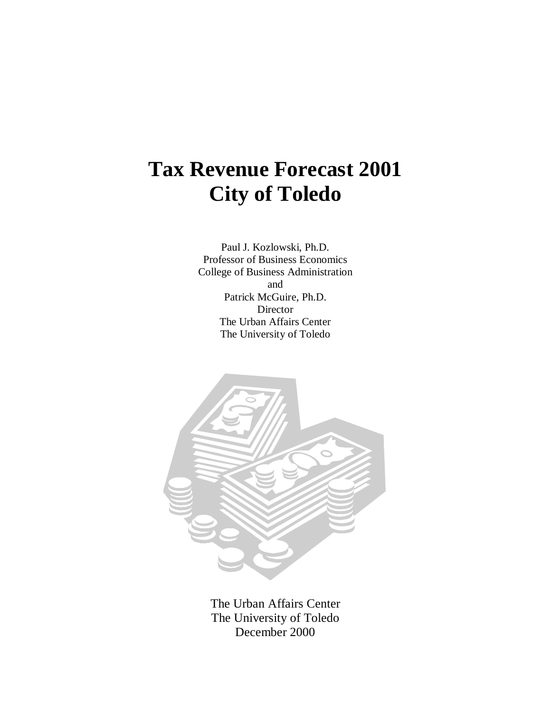# **Tax Revenue Forecast 2001 City of Toledo**

Paul J. Kozlowski, Ph.D. Professor of Business Economics College of Business Administration and Patrick McGuire, Ph.D. **Director** The Urban Affairs Center The University of Toledo



The Urban Affairs Center The University of Toledo December 2000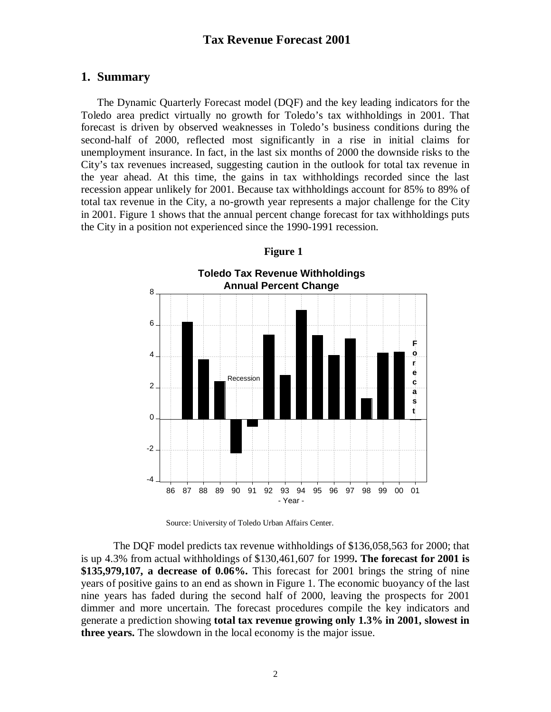# **1. Summary**

The Dynamic Quarterly Forecast model (DQF) and the key leading indicators for the Toledo area predict virtually no growth for Toledo's tax withholdings in 2001. That forecast is driven by observed weaknesses in Toledo's business conditions during the second-half of 2000, reflected most significantly in a rise in initial claims for unemployment insurance. In fact, in the last six months of 2000 the downside risks to the City's tax revenues increased, suggesting caution in the outlook for total tax revenue in the year ahead. At this time, the gains in tax withholdings recorded since the last recession appear unlikely for 2001. Because tax withholdings account for 85% to 89% of total tax revenue in the City, a no-growth year represents a major challenge for the City in 2001. Figure 1 shows that the annual percent change forecast for tax withholdings puts the City in a position not experienced since the 1990-1991 recession.



# **Figure 1**

Source: University of Toledo Urban Affairs Center.

The DQF model predicts tax revenue withholdings of \$136,058,563 for 2000; that is up 4.3% from actual withholdings of \$130,461,607 for 1999**. The forecast for 2001 is \$135,979,107, a decrease of 0.06%.** This forecast for 2001 brings the string of nine years of positive gains to an end as shown in Figure 1. The economic buoyancy of the last nine years has faded during the second half of 2000, leaving the prospects for 2001 dimmer and more uncertain. The forecast procedures compile the key indicators and generate a prediction showing **total tax revenue growing only 1.3% in 2001, slowest in three years.** The slowdown in the local economy is the major issue.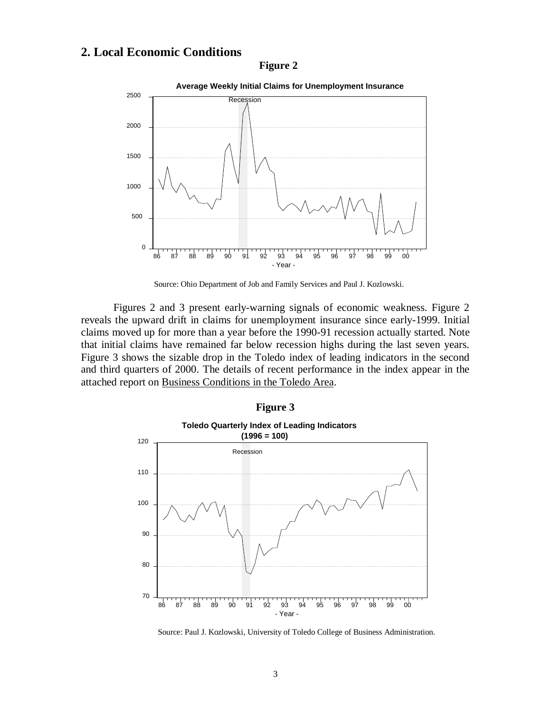# **2. Local Economic Conditions**

## **Figure 2**



Source: Ohio Department of Job and Family Services and Paul J. Kozlowski.

Figures 2 and 3 present early-warning signals of economic weakness. Figure 2 reveals the upward drift in claims for unemployment insurance since early-1999. Initial claims moved up for more than a year before the 1990-91 recession actually started. Note that initial claims have remained far below recession highs during the last seven years. Figure 3 shows the sizable drop in the Toledo index of leading indicators in the second and third quarters of 2000. The details of recent performance in the index appear in the attached report on Business Conditions in the Toledo Area.



Source: Paul J. Kozlowski, University of Toledo College of Business Administration.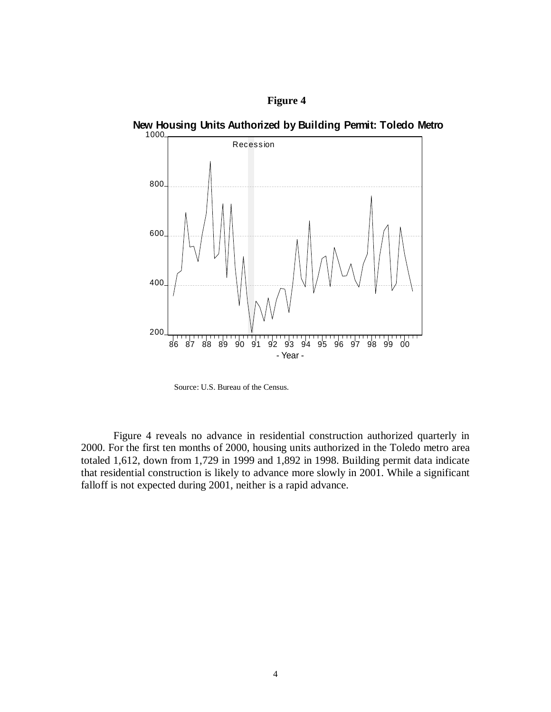# **Figure 4**





Source: U.S. Bureau of the Census.

Figure 4 reveals no advance in residential construction authorized quarterly in 2000. For the first ten months of 2000, housing units authorized in the Toledo metro area totaled 1,612, down from 1,729 in 1999 and 1,892 in 1998. Building permit data indicate that residential construction is likely to advance more slowly in 2001. While a significant falloff is not expected during 2001, neither is a rapid advance.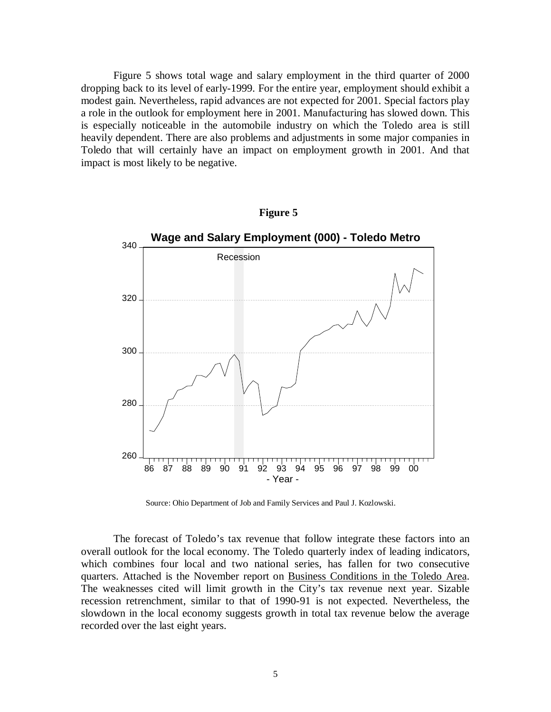Figure 5 shows total wage and salary employment in the third quarter of 2000 dropping back to its level of early-1999. For the entire year, employment should exhibit a modest gain. Nevertheless, rapid advances are not expected for 2001. Special factors play a role in the outlook for employment here in 2001. Manufacturing has slowed down. This is especially noticeable in the automobile industry on which the Toledo area is still heavily dependent. There are also problems and adjustments in some major companies in Toledo that will certainly have an impact on employment growth in 2001. And that impact is most likely to be negative.



Source: Ohio Department of Job and Family Services and Paul J. Kozlowski.

The forecast of Toledo's tax revenue that follow integrate these factors into an overall outlook for the local economy. The Toledo quarterly index of leading indicators, which combines four local and two national series, has fallen for two consecutive quarters. Attached is the November report on Business Conditions in the Toledo Area. The weaknesses cited will limit growth in the City's tax revenue next year. Sizable recession retrenchment, similar to that of 1990-91 is not expected. Nevertheless, the slowdown in the local economy suggests growth in total tax revenue below the average recorded over the last eight years.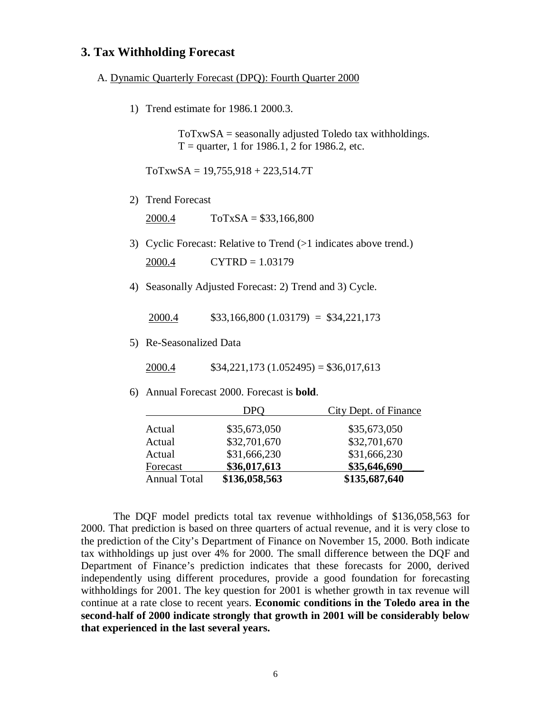# **3. Tax Withholding Forecast**

#### A. Dynamic Quarterly Forecast (DPQ): Fourth Quarter 2000

1) Trend estimate for 1986.1 2000.3.

 $ToTxwSA =$  seasonally adjusted Toledo tax withholdings.  $T =$  quarter, 1 for 1986.1, 2 for 1986.2, etc.

 $ToTxwSA = 19,755,918 + 223,514.7T$ 

2) Trend Forecast

2000.4 ToTxSA = \$33,166,800

- 3) Cyclic Forecast: Relative to Trend (>1 indicates above trend.)  $2000.4$  CYTRD = 1.03179
- 4) Seasonally Adjusted Forecast: 2) Trend and 3) Cycle.

 $2000.4$  \$33,166,800 (1.03179) = \$34,221,173

5) Re-Seasonalized Data

2000.4  $$34,221,173 (1.052495) = $36,017,613$ 

6) Annual Forecast 2000. Forecast is **bold**.

|                     | DPO           | <b>City Dept. of Finance</b> |  |  |
|---------------------|---------------|------------------------------|--|--|
| Actual              | \$35,673,050  | \$35,673,050                 |  |  |
| Actual              | \$32,701,670  | \$32,701,670                 |  |  |
| Actual              | \$31,666,230  | \$31,666,230                 |  |  |
| Forecast            | \$36,017,613  | \$35,646,690                 |  |  |
| <b>Annual Total</b> | \$136,058,563 | \$135,687,640                |  |  |

 The DQF model predicts total tax revenue withholdings of \$136,058,563 for 2000. That prediction is based on three quarters of actual revenue, and it is very close to the prediction of the City's Department of Finance on November 15, 2000. Both indicate tax withholdings up just over 4% for 2000. The small difference between the DQF and Department of Finance's prediction indicates that these forecasts for 2000, derived independently using different procedures, provide a good foundation for forecasting withholdings for 2001. The key question for 2001 is whether growth in tax revenue will continue at a rate close to recent years. **Economic conditions in the Toledo area in the second-half of 2000 indicate strongly that growth in 2001 will be considerably below that experienced in the last several years.**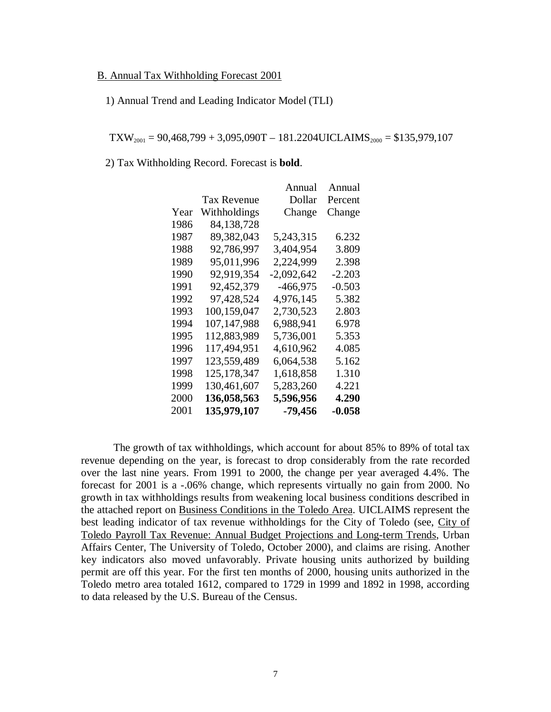## B. Annual Tax Withholding Forecast 2001

## 1) Annual Trend and Leading Indicator Model (TLI)

 $\text{TXW}_{2001} = 90,468,799 + 3,095,090 \text{T} - 181.2204 \text{UICLAIMS}_{2000} = $135,979,107$ 

2) Tax Withholding Record. Forecast is **bold**.

|      |                    | Annual       | Annual  |
|------|--------------------|--------------|---------|
|      | <b>Tax Revenue</b> | Dollar       | Percent |
| Year | Withholdings       | Change       | Change  |
| 1986 | 84,138,728         |              |         |
| 1987 | 89,382,043         | 5,243,315    | 6.232   |
| 1988 | 92,786,997         | 3,404,954    | 3.809   |
| 1989 | 95,011,996         | 2,224,999    | 2.398   |
| 1990 | 92,919,354         | $-2,092,642$ | -2.203  |
| 1991 | 92,452,379         | -466,975     | -0.503  |
| 1992 | 97,428,524         | 4,976,145    | 5.382   |
| 1993 | 100,159,047        | 2,730,523    | 2.803   |
| 1994 | 107,147,988        | 6,988,941    | 6.978   |
| 1995 | 112,883,989        | 5,736,001    | 5.353   |
| 1996 | 117,494,951        | 4,610,962    | 4.085   |
| 1997 | 123,559,489        | 6,064,538    | 5.162   |
| 1998 | 125,178,347        | 1,618,858    | 1.310   |
| 1999 | 130,461,607        | 5,283,260    | 4.221   |
| 2000 | 136,058,563        | 5,596,956    | 4.290   |
| 2001 | 135,979,107        | -79,456      | -0.058  |

 The growth of tax withholdings, which account for about 85% to 89% of total tax revenue depending on the year, is forecast to drop considerably from the rate recorded over the last nine years. From 1991 to 2000, the change per year averaged 4.4%. The forecast for 2001 is a -.06% change, which represents virtually no gain from 2000. No growth in tax withholdings results from weakening local business conditions described in the attached report on Business Conditions in the Toledo Area. UICLAIMS represent the best leading indicator of tax revenue withholdings for the City of Toledo (see, City of Toledo Payroll Tax Revenue: Annual Budget Projections and Long-term Trends, Urban Affairs Center, The University of Toledo, October 2000), and claims are rising. Another key indicators also moved unfavorably. Private housing units authorized by building permit are off this year. For the first ten months of 2000, housing units authorized in the Toledo metro area totaled 1612, compared to 1729 in 1999 and 1892 in 1998, according to data released by the U.S. Bureau of the Census.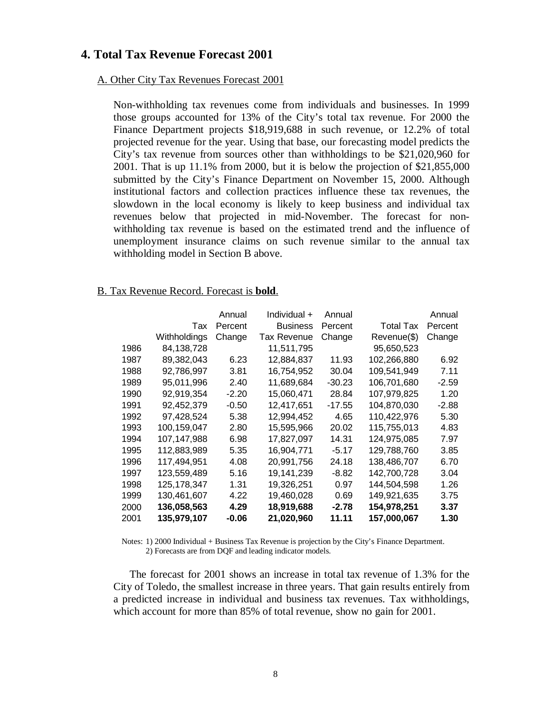## **4. Total Tax Revenue Forecast 2001**

## A. Other City Tax Revenues Forecast 2001

Non-withholding tax revenues come from individuals and businesses. In 1999 those groups accounted for 13% of the City's total tax revenue. For 2000 the Finance Department projects \$18,919,688 in such revenue, or 12.2% of total projected revenue for the year. Using that base, our forecasting model predicts the City's tax revenue from sources other than withholdings to be \$21,020,960 for 2001. That is up 11.1% from 2000, but it is below the projection of \$21,855,000 submitted by the City's Finance Department on November 15, 2000. Although institutional factors and collection practices influence these tax revenues, the slowdown in the local economy is likely to keep business and individual tax revenues below that projected in mid-November. The forecast for nonwithholding tax revenue is based on the estimated trend and the influence of unemployment insurance claims on such revenue similar to the annual tax withholding model in Section B above.

## B. Tax Revenue Record. Forecast is **bold**.

|      |              | Annual  | Individual +       | Annual   |                  | Annual  |
|------|--------------|---------|--------------------|----------|------------------|---------|
|      | Tax          | Percent | <b>Business</b>    | Percent  | <b>Total Tax</b> | Percent |
|      | Withholdings | Change  | <b>Tax Revenue</b> | Change   | Revenue(\$)      | Change  |
| 1986 | 84,138,728   |         | 11,511,795         |          | 95,650,523       |         |
| 1987 | 89.382.043   | 6.23    | 12,884,837         | 11.93    | 102,266,880      | 6.92    |
| 1988 | 92,786,997   | 3.81    | 16,754,952         | 30.04    | 109,541,949      | 7.11    |
| 1989 | 95,011,996   | 2.40    | 11,689,684         | $-30.23$ | 106,701,680      | $-2.59$ |
| 1990 | 92,919,354   | $-2.20$ | 15,060,471         | 28.84    | 107,979,825      | 1.20    |
| 1991 | 92,452,379   | $-0.50$ | 12,417,651         | $-17.55$ | 104,870,030      | $-2.88$ |
| 1992 | 97,428,524   | 5.38    | 12,994,452         | 4.65     | 110,422,976      | 5.30    |
| 1993 | 100,159,047  | 2.80    | 15,595,966         | 20.02    | 115,755,013      | 4.83    |
| 1994 | 107,147,988  | 6.98    | 17,827,097         | 14.31    | 124,975,085      | 7.97    |
| 1995 | 112,883,989  | 5.35    | 16,904,771         | $-5.17$  | 129,788,760      | 3.85    |
| 1996 | 117,494,951  | 4.08    | 20,991,756         | 24.18    | 138,486,707      | 6.70    |
| 1997 | 123,559,489  | 5.16    | 19,141,239         | -8.82    | 142,700,728      | 3.04    |
| 1998 | 125,178,347  | 1.31    | 19,326,251         | 0.97     | 144,504,598      | 1.26    |
| 1999 | 130,461,607  | 4.22    | 19,460,028         | 0.69     | 149,921,635      | 3.75    |
| 2000 | 136,058,563  | 4.29    | 18,919,688         | $-2.78$  | 154,978,251      | 3.37    |
| 2001 | 135,979,107  | $-0.06$ | 21,020,960         | 11.11    | 157,000,067      | 1.30    |

Notes: 1) 2000 Individual + Business Tax Revenue is projection by the City's Finance Department. 2) Forecasts are from DQF and leading indicator models.

The forecast for 2001 shows an increase in total tax revenue of 1.3% for the City of Toledo, the smallest increase in three years. That gain results entirely from a predicted increase in individual and business tax revenues. Tax withholdings, which account for more than 85% of total revenue, show no gain for 2001.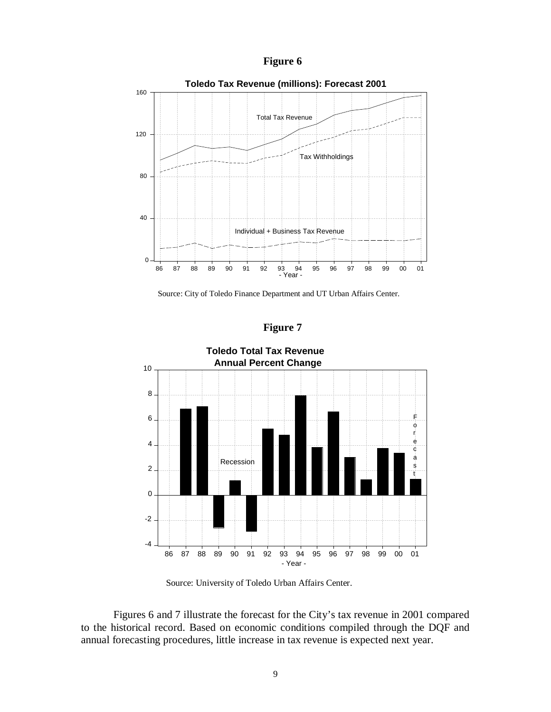



Source: City of Toledo Finance Department and UT Urban Affairs Center.

**Figure 7**



Source: University of Toledo Urban Affairs Center.

Figures 6 and 7 illustrate the forecast for the City's tax revenue in 2001 compared to the historical record. Based on economic conditions compiled through the DQF and annual forecasting procedures, little increase in tax revenue is expected next year.